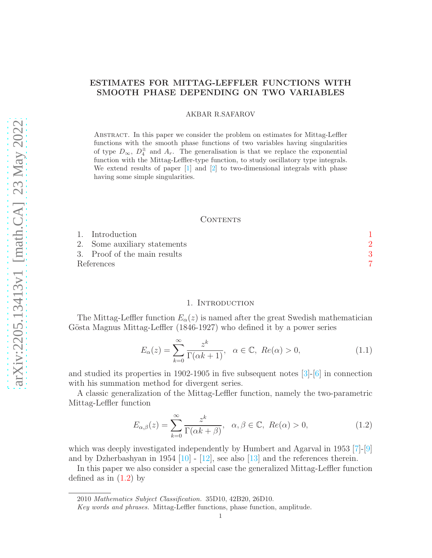# ESTIMATES FOR MITTAG-LEFFLER FUNCTIONS WITH SMOOTH PHASE DEPENDING ON TWO VARIABLES

AKBAR R.SAFAROV

Abstract. In this paper we consider the problem on estimates for Mittag-Leffler functions with the smooth phase functions of two variables having singularities of type  $D_{\infty}$ ,  $D_4^{\pm}$  and  $A_r$ . The generalisation is that we replace the exponential function with the Mittag-Leffler-type function, to study oscillatory type integrals. We extend results of paper  $\lceil 1 \rceil$  and  $\lceil 2 \rceil$  to two-dimensional integrals with phase having some simple singularities.

## CONTENTS

| 1. Introduction              |  |
|------------------------------|--|
| 2. Some auxiliary statements |  |
| 3. Proof of the main results |  |
| References                   |  |

## 1. Introduction

<span id="page-0-0"></span>The Mittag-Leffler function  $E_{\alpha}(z)$  is named after the great Swedish mathematician Gösta Magnus Mittag-Leffler (1846-1927) who defined it by a power series

$$
E_{\alpha}(z) = \sum_{k=0}^{\infty} \frac{z^k}{\Gamma(\alpha k + 1)}, \quad \alpha \in \mathbb{C}, \ Re(\alpha) > 0,
$$
 (1.1)

and studied its properties in 1902-1905 in five subsequent notes  $\lceil 3 \rceil$ - $\lceil 6 \rceil$  in connection with his summation method for divergent series.

A classic generalization of the Mittag-Leffler function, namely the two-parametric Mittag-Leffler function

<span id="page-0-1"></span>
$$
E_{\alpha,\beta}(z) = \sum_{k=0}^{\infty} \frac{z^k}{\Gamma(\alpha k + \beta)}, \quad \alpha, \beta \in \mathbb{C}, \ Re(\alpha) > 0,
$$
 (1.2)

which was deeply investigated independently by Humbert and Agarval in 1953 [\[7\]](#page-6-5)-[\[9\]](#page-6-6) and by Dzherbashyan in 1954  $[10]$  -  $[12]$ , see also  $[13]$  and the references therein.

In this paper we also consider a special case the generalized Mittag-Leffler function defined as in  $(1.2)$  by

2010 Mathematics Subject Classification. 35D10, 42B20, 26D10.

Key words and phrases. Mittag-Leffler functions, phase function, amplitude.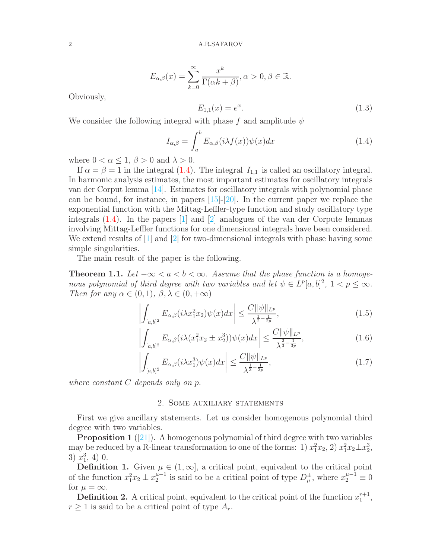$$
E_{\alpha,\beta}(x) = \sum_{k=0}^{\infty} \frac{x^k}{\Gamma(\alpha k + \beta)}, \alpha > 0, \beta \in \mathbb{R}.
$$

Obviously,

$$
E_{1,1}(x) = e^x. \tag{1.3}
$$

We consider the following integral with phase f and amplitude  $\psi$ 

<span id="page-1-1"></span>
$$
I_{\alpha,\beta} = \int_{a}^{b} E_{\alpha,\beta}(i\lambda f(x))\psi(x)dx
$$
\n(1.4)

where  $0 < \alpha \leq 1, \beta > 0$  and  $\lambda > 0$ .

If  $\alpha = \beta = 1$  in the integral [\(1.4\)](#page-1-1). The integral  $I_{1,1}$  is called an oscillatory integral. In harmonic analysis estimates, the most important estimates for oscillatory integrals van der Corput lemma [\[14\]](#page-6-10). Estimates for oscillatory integrals with polynomial phase can be bound, for instance, in papers [\[15\]](#page-6-11)-[\[20\]](#page-7-0). In the current paper we replace the exponential function with the Mittag-Leffler-type function and study oscillatory type integrals [\(1.4\)](#page-1-1). In the papers [\[1\]](#page-6-0) and [\[2\]](#page-6-1) analogues of the van der Corpute lemmas involving Mittag-Leffler functions for one dimensional integrals have been considered. We extend results of [\[1\]](#page-6-0) and [\[2\]](#page-6-1) for two-dimensional integrals with phase having some simple singularities.

The main result of the paper is the following.

<span id="page-1-2"></span>**Theorem 1.1.** Let  $-\infty < a < b < \infty$ . Assume that the phase function is a homogenous polynomial of third degree with two variables and let  $\psi \in L^p[a,b]^2$ ,  $1 < p \leq \infty$ . Then for any  $\alpha \in (0,1)$ ,  $\beta, \lambda \in (0,+\infty)$ 

$$
\left| \int_{[a,b]^2} E_{\alpha,\beta}(i\lambda x_1^2 x_2) \psi(x) dx \right| \le \frac{C ||\psi||_{L^p}}{\lambda^{\frac{1}{2} - \frac{1}{2p}}},\tag{1.5}
$$

$$
\left| \int_{[a,b]^2} E_{\alpha,\beta}(i\lambda(x_1^2 x_2 \pm x_2^3)) \psi(x) dx \right| \le \frac{C ||\psi||_{L^p}}{\lambda^{\frac{2}{3} - \frac{1}{3p}}},\tag{1.6}
$$

$$
\left| \int_{[a,b]^2} E_{\alpha,\beta}(i\lambda x_1^3) \psi(x) dx \right| \le \frac{C ||\psi||_{L^p}}{\lambda^{\frac{1}{3} - \frac{1}{3p}}},\tag{1.7}
$$

<span id="page-1-0"></span>where constant C depends only on p.

## 2. Some auxiliary statements

First we give ancillary statements. Let us consider homogenous polynomial third degree with two variables.

**Proposition 1** ([\[21\]](#page-7-1)). A homogenous polynomial of third degree with two variables may be reduced by a R-linear transformation to one of the forms: 1)  $x_1^2x_2$ , 2)  $x_1^2x_2 \pm x_2^3$ , 3)  $x_1^3$ , 4) 0.

**Definition 1.** Given  $\mu \in (1, \infty]$ , a critical point, equivalent to the critical point of the function  $x_1^2 x_2 \pm x_2^{\mu-1}$  is said to be a critical point of type  $D^{\pm}_{\mu}$ , where  $x_2^{\mu-1} \equiv 0$ for  $\mu = \infty$ .

**Definition 2.** A critical point, equivalent to the critical point of the function  $x_1^{r+1}$ ,  $r \geq 1$  is said to be a critical point of type  $A_r$ .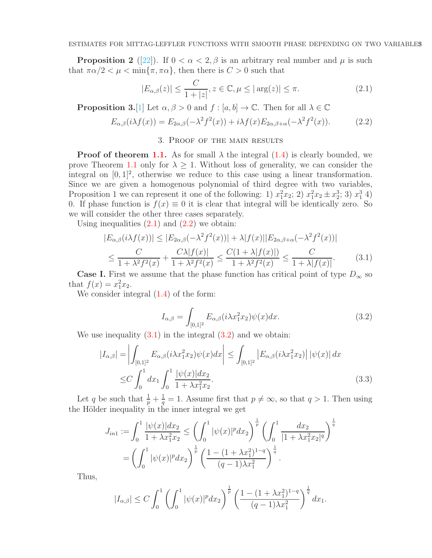**Proposition 2** ([\[22\]](#page-7-2)). If  $0 < \alpha < 2, \beta$  is an arbitrary real number and  $\mu$  is such that  $\pi \alpha/2 < \mu < \min{\lbrace \pi, \pi \alpha \rbrace}$ , then there is  $C > 0$  such that

<span id="page-2-1"></span>
$$
|E_{\alpha,\beta}(z)| \le \frac{C}{1+|z|}, z \in \mathbb{C}, \mu \le |\arg(z)| \le \pi.
$$
 (2.1)

<span id="page-2-0"></span>**Proposition 3.**[\[1\]](#page-6-0) Let  $\alpha, \beta > 0$  and  $f : [a, b] \to \mathbb{C}$ . Then for all  $\lambda \in \mathbb{C}$ 

<span id="page-2-2"></span>
$$
E_{\alpha,\beta}(i\lambda f(x)) = E_{2\alpha,\beta}(-\lambda^2 f^2(x)) + i\lambda f(x) E_{2\alpha,\beta+\alpha}(-\lambda^2 f^2(x)).
$$
 (2.2)

# 3. Proof of the main results

**Proof of theorem [1.1.](#page-1-2)** As for small  $\lambda$  the integral [\(1.4\)](#page-1-1) is clearly bounded, we prove Theorem [1.1](#page-1-2) only for  $\lambda \geq 1$ . Without loss of generality, we can consider the integral on  $[0, 1]^2$ , otherwise we reduce to this case using a linear transformation. Since we are given a homogenous polynomial of third degree with two variables, Proposition 1 we can represent it one of the following: 1)  $x_1^2x_2$ ; 2)  $x_1^2x_2 \pm x_2^3$ ; 3)  $x_1^3$  4) 0. If phase function is  $f(x) \equiv 0$  it is clear that integral will be identically zero. So we will consider the other three cases separately.

Using inequalities  $(2.1)$  and  $(2.2)$  we obtain:

<span id="page-2-3"></span>
$$
|E_{\alpha,\beta}(i\lambda f(x))| \le |E_{2\alpha,\beta}(-\lambda^2 f^2(x))| + \lambda |f(x)||E_{2\alpha,\beta+\alpha}(-\lambda^2 f^2(x))|
$$
  

$$
\le \frac{C}{1 + \lambda^2 f^2(x)} + \frac{C\lambda |f(x)|}{1 + \lambda^2 f^2(x)} \le \frac{C(1 + \lambda |f(x)|)}{1 + \lambda^2 f^2(x)} \le \frac{C}{1 + \lambda |f(x)|}.
$$
 (3.1)

**Case I.** First we assume that the phase function has critical point of type  $D_{\infty}$  so that  $f(x) = x_1^2 x_2$ .

We consider integral  $(1.4)$  of the form:

<span id="page-2-5"></span><span id="page-2-4"></span>
$$
I_{\alpha,\beta} = \int_{[0,1]^2} E_{\alpha,\beta}(i\lambda x_1^2 x_2) \psi(x) dx.
$$
 (3.2)

We use inequality  $(3.1)$  in the integral  $(3.2)$  and we obtain:

$$
|I_{\alpha,\beta}| = \left| \int_{[0,1]^2} E_{\alpha,\beta}(i\lambda x_1^2 x_2) \psi(x) dx \right| \le \int_{[0,1]^2} \left| E_{\alpha,\beta}(i\lambda x_1^2 x_2) \right| |\psi(x)| dx
$$
  
 
$$
\le C \int_0^1 dx_1 \int_0^1 \frac{|\psi(x)| dx_2}{1 + \lambda x_1^2 x_2}.
$$
 (3.3)

Let q be such that  $\frac{1}{p} + \frac{1}{q}$  $\frac{1}{q} = 1$ . Assume first that  $p \neq \infty$ , so that  $q > 1$ . Then using the Hölder inequality in the inner integral we get

$$
J_{in1} := \int_0^1 \frac{|\psi(x)|dx_2}{1 + \lambda x_1^2 x_2} \le \left(\int_0^1 |\psi(x)|^p dx_2\right)^{\frac{1}{p}} \left(\int_0^1 \frac{dx_2}{|1 + \lambda x_1^2 x_2|^q}\right)^{\frac{1}{q}}
$$
  
= 
$$
\left(\int_0^1 |\psi(x)|^p dx_2\right)^{\frac{1}{p}} \left(\frac{1 - (1 + \lambda x_1^2)^{1-q}}{(q-1)\lambda x_1^2}\right)^{\frac{1}{q}}.
$$

Thus,

$$
|I_{\alpha,\beta}|\leq C\int_0^1\left(\int_0^1|\psi(x)|^pdx_2\right)^{\frac{1}{p}}\left(\frac{1-(1+\lambda x_1^2)^{1-q}}{(q-1)\lambda x_1^2}\right)^{\frac{1}{q}}dx_1.
$$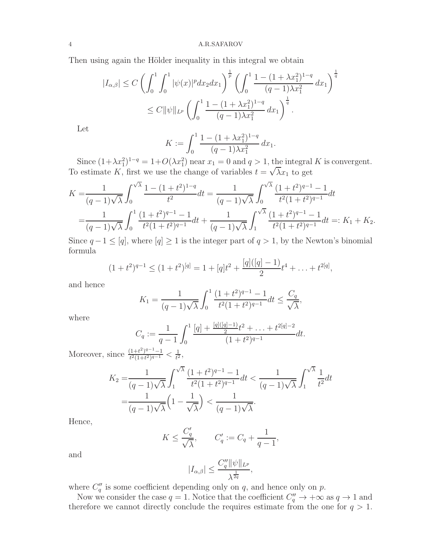4 A.R.SAFAROV

Then using again the Hölder inequality in this integral we obtain

$$
|I_{\alpha,\beta}| \le C \left( \int_0^1 \int_0^1 |\psi(x)|^p dx_2 dx_1 \right)^{\frac{1}{p}} \left( \int_0^1 \frac{1 - (1 + \lambda x_1^2)^{1-q}}{(q-1)\lambda x_1^2} dx_1 \right)^{\frac{1}{q}}
$$
  

$$
\le C ||\psi||_{L^p} \left( \int_0^1 \frac{1 - (1 + \lambda x_1^2)^{1-q}}{(q-1)\lambda x_1^2} dx_1 \right)^{\frac{1}{q}}.
$$

Let

$$
K := \int_0^1 \frac{1 - (1 + \lambda x_1^2)^{1-q}}{(q-1)\lambda x_1^2} dx_1.
$$

Since  $(1+\lambda x_1^2)^{1-q} = 1+O(\lambda x_1^2)$  near  $x_1 = 0$  and  $q > 1$ , the integral K is convergent. To estimate K, first we use the change of variables  $t = \sqrt{\lambda}x_1$  to get

$$
K = \frac{1}{(q-1)\sqrt{\lambda}} \int_0^{\sqrt{\lambda}} \frac{1 - (1+t^2)^{1-q}}{t^2} dt = \frac{1}{(q-1)\sqrt{\lambda}} \int_0^{\sqrt{\lambda}} \frac{(1+t^2)^{q-1} - 1}{t^2(1+t^2)^{q-1}} dt
$$
  
= 
$$
\frac{1}{(q-1)\sqrt{\lambda}} \int_0^1 \frac{(1+t^2)^{q-1} - 1}{t^2(1+t^2)^{q-1}} dt + \frac{1}{(q-1)\sqrt{\lambda}} \int_1^{\sqrt{\lambda}} \frac{(1+t^2)^{q-1} - 1}{t^2(1+t^2)^{q-1}} dt =: K_1 + K_2.
$$

Since  $q-1 \leq [q]$ , where  $[q] \geq 1$  is the integer part of  $q > 1$ , by the Newton's binomial formula

$$
(1+t^2)^{q-1} \le (1+t^2)^{[q]} = 1+[q]t^2+\frac{[q]([q]-1)}{2}t^4+\ldots+t^{2[q]},
$$

and hence

$$
K_1 = \frac{1}{(q-1)\sqrt{\lambda}} \int_0^1 \frac{(1+t^2)^{q-1} - 1}{t^2(1+t^2)^{q-1}} dt \le \frac{C_q}{\sqrt{\lambda}},
$$

where

$$
C_q := \frac{1}{q-1} \int_0^1 \frac{[q] + \frac{[q]([q]-1)}{2}t^2 + \ldots + t^{2[q]-2}}{(1+t^2)^{q-1}} dt.
$$

Moreover, since  $\frac{(1+t^2)^{q-1}-1}{t^2(1+t^2)^{q-1}} < \frac{1}{t^2}$  $\frac{1}{t^2}$ ,

$$
K_2 = \frac{1}{(q-1)\sqrt{\lambda}} \int_1^{\sqrt{\lambda}} \frac{(1+t^2)^{q-1} - 1}{t^2(1+t^2)^{q-1}} dt < \frac{1}{(q-1)\sqrt{\lambda}} \int_1^{\sqrt{\lambda}} \frac{1}{t^2} dt
$$
  
= 
$$
\frac{1}{(q-1)\sqrt{\lambda}} \left(1 - \frac{1}{\sqrt{\lambda}}\right) < \frac{1}{(q-1)\sqrt{\lambda}}.
$$

Hence,

$$
K \le \frac{C_q'}{\sqrt{\lambda}}, \qquad C_q' := C_q + \frac{1}{q-1},
$$

and

$$
|I_{\alpha,\beta}| \le \frac{C_q'' \|\psi\|_{L^p}}{\lambda^{\frac{1}{2q}}},
$$

where  $C_q''$  is some coefficient depending only on q, and hence only on p.

Now we consider the case  $q = 1$ . Notice that the coefficient  $C_q'' \to +\infty$  as  $q \to 1$  and therefore we cannot directly conclude the requires estimate from the one for  $q > 1$ .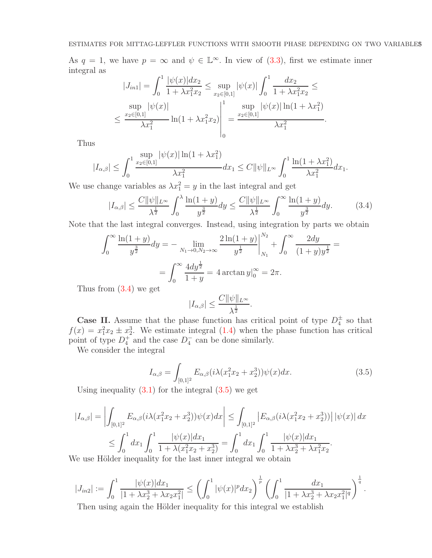As  $q = 1$ , we have  $p = \infty$  and  $\psi \in \mathbb{L}^{\infty}$ . In view of [\(3.3\)](#page-2-5), first we estimate inner integral as

$$
|J_{in1}| = \int_0^1 \frac{|\psi(x)|dx_2}{1 + \lambda x_1^2 x_2} \le \sup_{x_2 \in [0,1]} |\psi(x)| \int_0^1 \frac{dx_2}{1 + \lambda x_1^2 x_2} \le
$$
  

$$
\sup_{x_2 \in [0,1]} |\psi(x)| \sup_{\lambda x_1^2} \ln(1 + \lambda x_1^2 x_2) \Big|_0^1 = \frac{\sup_{x_2 \in [0,1]} |\psi(x)| \ln(1 + \lambda x_1^2)}{\lambda x_1^2}.
$$

Thus

$$
|I_{\alpha,\beta}| \leq \int_0^1 \frac{\sup\limits_{x_2 \in [0,1]} |\psi(x)| \ln(1+\lambda x_1^2)}{\lambda x_1^2} dx_1 \leq C ||\psi||_{L^\infty} \int_0^1 \frac{\ln(1+\lambda x_1^2)}{\lambda x_1^2} dx_1.
$$

We use change variables as  $\lambda x_1^2 = y$  in the last integral and get

<span id="page-4-0"></span>
$$
|I_{\alpha,\beta}| \le \frac{C \|\psi\|_{L^\infty}}{\lambda^{\frac{1}{2}}} \int_0^\lambda \frac{\ln(1+y)}{y^{\frac{3}{2}}} dy \le \frac{C \|\psi\|_{L^\infty}}{\lambda^{\frac{1}{2}}} \int_0^\infty \frac{\ln(1+y)}{y^{\frac{3}{2}}} dy. \tag{3.4}
$$

Note that the last integral converges. Instead, using integration by parts we obtain

$$
\int_0^\infty \frac{\ln(1+y)}{y^{\frac{3}{2}}} dy = - \lim_{N_1 \to 0, N_2 \to \infty} \frac{2 \ln(1+y)}{y^{\frac{1}{2}}} \Big|_{N_1}^{N_2} + \int_0^\infty \frac{2 dy}{(1+y)y^{\frac{1}{2}}} =
$$

$$
= \int_0^\infty \frac{4 dy^{\frac{1}{2}}}{1+y} = 4 \arctan y \Big|_0^\infty = 2\pi.
$$

Thus from [\(3.4\)](#page-4-0) we get

$$
|I_{\alpha,\beta}| \le \frac{C \|\psi\|_{L^\infty}}{\lambda^{\frac{1}{2}}}
$$

**Case II.** Assume that the phase function has critical point of type  $D_4^{\pm}$  so that  $f(x) = x_1^2 x_2 \pm x_2^3$ . We estimate integral [\(1.4\)](#page-1-1) when the phase function has critical point of type  $D_4^+$  and the case  $D_4^-$  can be done similarly.

We consider the integral

<span id="page-4-1"></span>
$$
I_{\alpha,\beta} = \int_{[0,1]^2} E_{\alpha,\beta} (i\lambda (x_1^2 x_2 + x_2^3)) \psi(x) dx.
$$
 (3.5)

.

Using inequality  $(3.1)$  for the integral  $(3.5)$  we get

$$
|I_{\alpha,\beta}| = \left| \int_{[0,1]^2} E_{\alpha,\beta}(i\lambda(x_1^2 x_2 + x_2^3))\psi(x)dx \right| \le \int_{[0,1]^2} \left| E_{\alpha,\beta}(i\lambda(x_1^2 x_2 + x_2^3)) \right| |\psi(x)| dx
$$
  

$$
\le \int_0^1 dx_1 \int_0^1 \frac{|\psi(x)|dx_1}{1 + \lambda(x_1^2 x_2 + x_2^3)} = \int_0^1 dx_1 \int_0^1 \frac{|\psi(x)|dx_1}{1 + \lambda x_2^3 + \lambda x_1^2 x_2}.
$$
  
We use Hölder inequality for the last inner integral we obtain

We use Hölder inequality for the last inner integral we obtain

$$
|J_{in2}| := \int_0^1 \frac{|\psi(x)|dx_1}{|1 + \lambda x_2^3 + \lambda x_2 x_1^2|} \le \left(\int_0^1 |\psi(x)|^p dx_2\right)^{\frac{1}{p}} \left(\int_0^1 \frac{dx_1}{|1 + \lambda x_2^3 + \lambda x_2 x_1^2|^q}\right)^{\frac{1}{q}}.
$$

Then using again the Hölder inequality for this integral we establish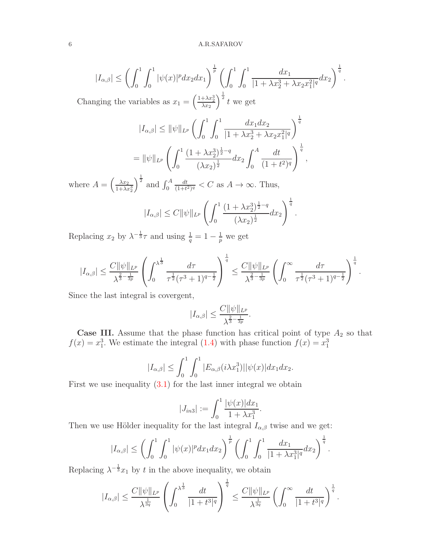$$
|I_{\alpha,\beta}| \leq \left(\int_0^1 \int_0^1 |\psi(x)|^p dx_2 dx_1\right)^{\frac{1}{p}} \left(\int_0^1 \int_0^1 \frac{dx_1}{|1+\lambda x_2^3 + \lambda x_2 x_1^2|^q} dx_2\right)^{\frac{1}{q}}.
$$

Changing the variables as  $x_1 = \left(\frac{1+\lambda x_2^3}{\lambda x_2}\right)^{\frac{1}{2}} t$  we get

$$
|I_{\alpha,\beta}| \leq \|\psi\|_{L^p} \left(\int_0^1 \int_0^1 \frac{dx_1 dx_2}{|1 + \lambda x_2^3 + \lambda x_2 x_1^2|^q}\right)^{\frac{1}{q}}
$$
  
= 
$$
\|\psi\|_{L^p} \left(\int_0^1 \frac{(1 + \lambda x_2^3)^{\frac{1}{2} - q}}{(\lambda x_2)^{\frac{1}{2}}} dx_2 \int_0^A \frac{dt}{(1 + t^2)^q}\right)^{\frac{1}{q}},
$$

where  $A = \left(\frac{\lambda x_2}{1 + \lambda x_2^3}\right)$  $\int_0^{\frac{1}{2}}$  and  $\int_0^A$ dt  $\frac{dt}{(1+t^2)^q} < C$  as  $A \to \infty$ . Thus,

$$
|I_{\alpha,\beta}| \leq C ||\psi||_{L^p} \left( \int_0^1 \frac{(1+\lambda x_2^3)^{\frac{1}{2}-q}}{(\lambda x_2)^{\frac{1}{2}}} dx_2 \right)^{\frac{1}{q}}.
$$

Replacing  $x_2$  by  $\lambda^{-\frac{1}{3}}\tau$  and using  $\frac{1}{q} = 1 - \frac{1}{p}$  we get

$$
|I_{\alpha,\beta}|\leq \frac{C\|\psi\|_{L^p}}{\lambda^{\frac{2}{3}-\frac{1}{3p}}}\left(\int_0^{\lambda^{\frac{1}{3}}}\frac{d\tau}{\tau^{\frac{1}{2}}(\tau^3+1)^{q-\frac{1}{2}}}\right)^{\frac{1}{q}}\leq \frac{C\|\psi\|_{L^p}}{\lambda^{\frac{2}{3}-\frac{1}{3p}}}\left(\int_0^\infty \frac{d\tau}{\tau^{\frac{1}{2}}(\tau^3+1)^{q-\frac{1}{2}}}\right)^{\frac{1}{q}}.
$$

Since the last integral is covergent,

$$
|I_{\alpha,\beta}| \leq \frac{C \|\psi\|_{L^p}}{\lambda^{\frac{2}{3}-\frac{1}{3p}}}.
$$

**Case III.** Assume that the phase function has critical point of type  $A_2$  so that  $f(x) = x_1^3$ . We estimate the integral [\(1.4\)](#page-1-1) with phase function  $f(x) = x_1^3$ 

$$
|I_{\alpha,\beta}| \leq \int_0^1 \int_0^1 |E_{\alpha,\beta}(i\lambda x_1^3)| |\psi(x)| dx_1 dx_2.
$$

First we use inequality  $(3.1)$  for the last inner integral we obtain

$$
|J_{in3}| := \int_0^1 \frac{|\psi(x)| dx_1}{1 + \lambda x_1^3}.
$$

Then we use Hölder inequality for the last integral  $I_{\alpha,\beta}$  twise and we get:

$$
|I_{\alpha,\beta}|\leq \left(\int_0^1\int_0^1|\psi(x)|^pdx_1dx_2\right)^{\frac{1}{p}}\left(\int_0^1\int_0^1\frac{dx_1}{|1+\lambda x_1^3|^q}dx_2\right)^{\frac{1}{q}}.
$$

Replacing  $\lambda^{-\frac{1}{3}}x_1$  by t in the above inequality, we obtain

$$
|I_{\alpha,\beta}|\leq \frac{C\|\psi\|_{L^p}}{\lambda^{\frac{1}{3q}}}\left(\int_0^{\lambda^{\frac{1}{3}}}\frac{dt}{|1+t^3|^q}\right)^{\frac{1}{q}}\leq \frac{C\|\psi\|_{L^p}}{\lambda^{\frac{1}{3q}}}\left(\int_0^\infty \frac{dt}{|1+t^3|^q}\right)^{\frac{1}{q}}.
$$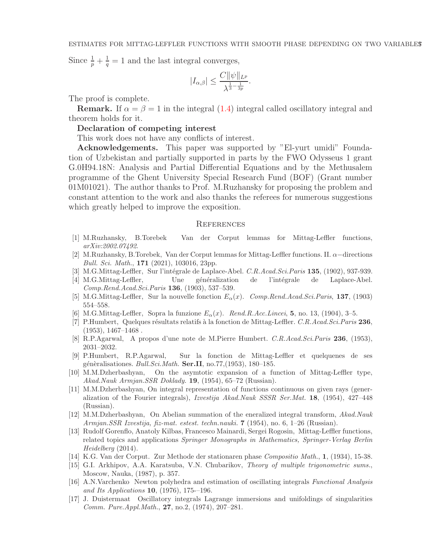Since  $\frac{1}{p} + \frac{1}{q} = 1$  and the last integral converges,

$$
|I_{\alpha,\beta}|\leq \frac{C\|\psi\|_{L^p}}{\lambda^{\frac{1}{3}-\frac{1}{3p}}}.
$$

The proof is complete.

**Remark.** If  $\alpha = \beta = 1$  in the integral [\(1.4\)](#page-1-1) integral called oscillatory integral and theorem holds for it.

# Declaration of competing interest

This work does not have any conflicts of interest.

Acknowledgements. This paper was supported by "El-yurt umidi" Foundation of Uzbekistan and partially supported in parts by the FWO Odysseus 1 grant G.0H94.18N: Analysis and Partial Differential Equations and by the Methusalem programme of the Ghent University Special Research Fund (BOF) (Grant number 01M01021). The author thanks to Prof. M.Ruzhansky for proposing the problem and constant attention to the work and also thanks the referees for numerous suggestions which greatly helped to improve the exposition.

### <span id="page-6-2"></span>**REFERENCES**

- <span id="page-6-0"></span>[1] M.Ruzhansky, B.Torebek Van der Corput lemmas for Mittag-Leffler functions, arXiv:2002.07492.
- <span id="page-6-1"></span>[2] M.Ruzhansky, B.Torebek, Van der Corput lemmas for Mittag-Leffler functions. II. <sup>α</sup>−directions Bull. Sci. Math., 171 (2021), 103016, 23pp.
- <span id="page-6-3"></span>[3] M.G.Mittag-Leffler, Sur l'intégrale de Laplace-Abel. C.R.Acad.Sci.Paris 135, (1902), 937-939.
- [4] M.G.Mittag-Leffler, Une généralization de l'intégrale de Laplace-Abel. Comp.Rend.Acad.Sci.Paris 136, (1903), 537–539.
- <span id="page-6-4"></span>[5] M.G.Mittag-Leffler, Sur la nouvelle fonction  $E_{\alpha}(x)$ . Comp.Rend.Acad.Sci.Paris, 137, (1903) 554–558.
- <span id="page-6-5"></span>[6] M.G.Mittag-Leffler, Sopra la funzione  $E_{\alpha}(x)$ . Rend.R.Acc.Lincei, 5, no. 13, (1904), 3-5.
- [7] P.Humbert, Quelques résultats relatifs à la fonction de Mittag-Leffler. C.R.Acad.Sci.Paris 236,  $(1953), 1467 - 1468$ .
- <span id="page-6-6"></span>[8] R.P.Agarwal, A propos d'une note de M.Pierre Humbert. C.R.Acad.Sci.Paris 236, (1953), 2031–2032.
- [9] P.Humbert, R.P.Agarwal, Sur la fonction de Mittag-Leffler et quelquenes de ses génèralisationes. Bull.Sci.Math. Ser.II, no.77,(1953), 180–185.
- <span id="page-6-7"></span>[10] M.M.Dzherbashyan, On the asymtotic expansion of a function of Mittag-Leffler type, Akad.Nauk Armjan.SSR Doklady. 19, (1954), 65–72 (Russian).
- [11] M.M.Dzherbashyan, On integral representation of functions continuous on given rays (generalization of the Fourier integrals), Izvestija Akad.Nauk SSSR Ser.Mat. 18, (1954), 427–448 (Russian).
- <span id="page-6-8"></span>[12] M.M.Dzherbashyan, On Abelian summation of the eneralized integral transform, Akad.Nauk Armjan.SSR Izvestija, fiz-mat. estest. techn.nauki. 7 (1954), no. 6, 1–26 (Russian).
- <span id="page-6-9"></span>[13] Rudolf Gorenflo, Anatoly Kilbas, Francesco Mainardi, Sergei Rogosin, Mittag-Leffler functions, related topics and applications Springer Monographs in Mathematics, Springer-Verlag Berlin Heidelberg (2014).
- <span id="page-6-11"></span><span id="page-6-10"></span>[14] K.G. Van der Corput. Zur Methode der stationaren phase Compositio Math., 1, (1934), 15-38.
- [15] G.I. Arkhipov, A.A. Karatsuba, V.N. Chubarikov, Theory of multiple trigonometric sums., Moscow, Nauka, (1987), p. 357.
- [16] A.N.Varchenko Newton polyhedra and estimation of oscillating integrals Functional Analysis and Its Applications **10**, (1976), 175–196.
- [17] J. Duistermaat Oscillatory integrals Lagrange immersions and unifoldings of singularities Comm. Pure.Appl.Math., 27, no.2, (1974), 207–281.